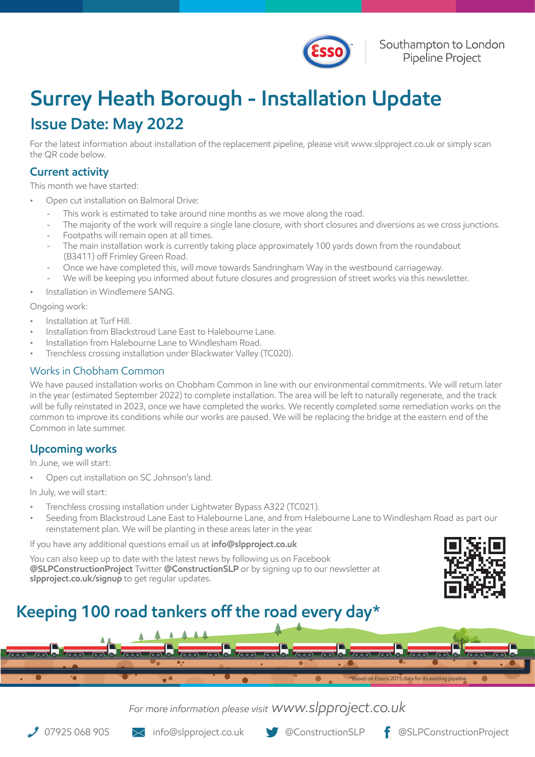

## **Surrey Heath Borough - Installation Update Issue Date: May 2022**

For the latest information about installation of the replacement pipeline, please visit www.slpproject.co.uk or simply scan the QR code below.

### **Current activity**

This month we have started:

- Open cut installation on Balmoral Drive:
	- This work is estimated to take around nine months as we move along the road.
	- The majority of the work will require a single lane closure, with short closures and diversions as we cross junctions.
	- Footpaths will remain open at all times.
	- The main installation work is currently taking place approximately 100 yards down from the roundabout (B3411) off Frimley Green Road.
	- Once we have completed this, will move towards Sandringham Way in the westbound carriageway.
	- We will be keeping you informed about future closures and progression of street works via this newsletter.
- Installation in Windlemere SANG.

#### Ongoing work:

- Installation at Turf Hill.
- Installation from Blackstroud Lane East to Halebourne Lane.
- Installation from Halebourne Lane to Windlesham Road.
- Trenchless crossing installation under Blackwater Valley (TC020).

### Works in Chobham Common

We have paused installation works on Chobham Common in line with our environmental commitments. We will return later in the year (estimated September 2022) to complete installation. The area will be left to naturally regenerate, and the track will be fully reinstated in 2023, once we have completed the works. We recently completed some remediation works on the common to improve its conditions while our works are paused. We will be replacing the bridge at the eastern end of the Common in late summer.

### **Upcoming works**

In June, we will start:

• Open cut installation on SC Johnson's land.

In July, we will start:

- Trenchless crossing installation under Lightwater Bypass A322 (TC021).
- Seeding from Blackstroud Lane East to Halebourne Lane, and from Halebourne Lane to Windlesham Road as part our reinstatement plan. We will be planting in these areas later in the year.

If you have any additional questions email us at **info@slpproject.co.uk**

You can also keep up to date with the latest news by following us on Facebook **@SLPConstructionProject** Twitter **@ConstructionSLP** or by signing up to our newsletter at **slpproject.co.uk/signup** to get regular updates.



## **Keeping 100 road tankers off the road every day\***

| $1000 - 100 - 0$ | $1000 - 100 - 0$ |  |  |                                                      | $I_{\odot \odot}$ |
|------------------|------------------|--|--|------------------------------------------------------|-------------------|
|                  |                  |  |  |                                                      |                   |
|                  |                  |  |  | *Based on Esso's 2015 data for its existing pipeline |                   |

### *For more information please visit www.slpproject.co.uk*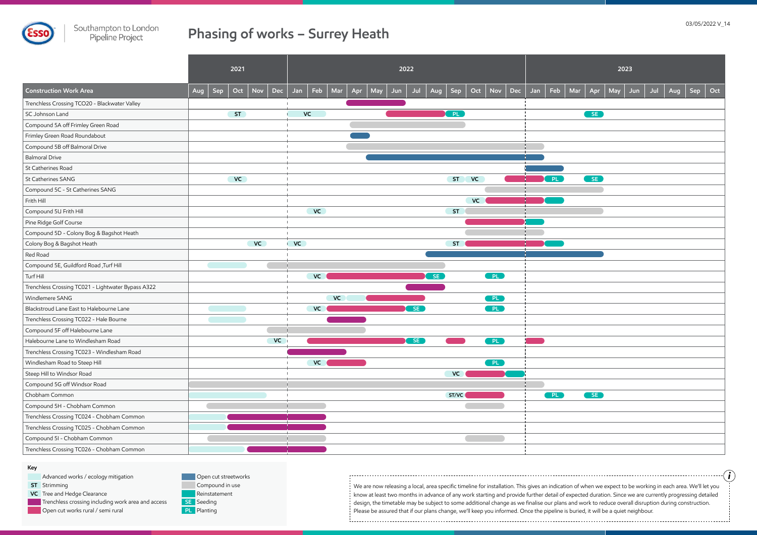

## **Phasing of works – Surrey Heath**

We are now releasing a local, area specific timeline for installation. This gives an indication of when we expect to be working in each area. We'll let you know at least two months in advance of any work starting and provide further detail of expected duration. Since we are currently progressing detailed design, the timetable may be subject to some additional change as we finalise our plans and work to reduce overall disruption during construction. Please be assured that if our plans change, we'll keep you informed. Once the pipeline is buried, it will be a quiet neighbour. 

*i*

| 2023        |           |     |     |     |     |     |     |  |  |  |  |
|-------------|-----------|-----|-----|-----|-----|-----|-----|--|--|--|--|
| $\sqrt{ar}$ | Apr       | May | Jun | Jul | Aug | Sep | Oct |  |  |  |  |
|             | SE        |     |     |     |     |     |     |  |  |  |  |
|             |           |     |     |     |     |     |     |  |  |  |  |
|             |           |     |     |     |     |     |     |  |  |  |  |
|             |           |     |     |     |     |     |     |  |  |  |  |
|             | SE        |     |     |     |     |     |     |  |  |  |  |
|             |           |     |     |     |     |     |     |  |  |  |  |
|             |           |     |     |     |     |     |     |  |  |  |  |
|             |           |     |     |     |     |     |     |  |  |  |  |
|             |           |     |     |     |     |     |     |  |  |  |  |
|             |           |     |     |     |     |     |     |  |  |  |  |
|             |           |     |     |     |     |     |     |  |  |  |  |
|             |           |     |     |     |     |     |     |  |  |  |  |
|             |           |     |     |     |     |     |     |  |  |  |  |
|             |           |     |     |     |     |     |     |  |  |  |  |
|             |           |     |     |     |     |     |     |  |  |  |  |
|             |           |     |     |     |     |     |     |  |  |  |  |
|             | <b>SE</b> |     |     |     |     |     |     |  |  |  |  |
|             |           |     |     |     |     |     |     |  |  |  |  |
|             |           |     |     |     |     |     |     |  |  |  |  |
|             |           |     |     |     |     |     |     |  |  |  |  |
|             |           |     |     |     |     |     |     |  |  |  |  |

- Advanced works / ecology mitigation
- Strimming **ST VC** Tree and Hedge Clearance Trenchless crossing including work area and access Open cut works rural / semi rural
- Reinstatement SE Seeding Compound in use Open cut streetworks

**PL** Planting

|                                                    | 2021       |    |                  |             | 2022 |     |            |     |            |            |     |                | 2023 |  |                 |  |           |     |     |     |     |                    |
|----------------------------------------------------|------------|----|------------------|-------------|------|-----|------------|-----|------------|------------|-----|----------------|------|--|-----------------|--|-----------|-----|-----|-----|-----|--------------------|
| <b>Construction Work Area</b>                      | Sep<br>Aug |    | $Oct$ Nov<br>Dec | Jan         | Feb  | Mar | Apr<br>May | Jun | Jul<br>Aug | Sep        | Oct | <b>Nov</b>     | Dec  |  | Jan   Feb   Mar |  | Apr       | May | Jun | Jul | Aug | $Sep \vert$<br>Oct |
| Trenchless Crossing TCO20 - Blackwater Valley      |            |    |                  |             |      |     |            |     |            |            |     |                |      |  |                 |  |           |     |     |     |     |                    |
| SC Johnson Land                                    |            | ST |                  |             | VC   |     |            |     |            | <b>OPL</b> |     |                |      |  |                 |  | <b>SE</b> |     |     |     |     |                    |
| Compound 5A off Frimley Green Road                 |            |    |                  |             |      |     |            |     |            |            |     |                |      |  |                 |  |           |     |     |     |     |                    |
| Frimley Green Road Roundabout                      |            |    |                  |             |      |     |            |     |            |            |     |                |      |  |                 |  |           |     |     |     |     |                    |
| Compound 5B off Balmoral Drive                     |            |    |                  |             |      |     |            |     |            |            |     |                |      |  |                 |  |           |     |     |     |     |                    |
| Balmoral Drive                                     |            |    |                  |             |      |     |            |     |            |            |     |                |      |  |                 |  |           |     |     |     |     |                    |
| St Catherines Road                                 |            |    |                  |             |      |     |            |     |            |            |     |                |      |  |                 |  |           |     |     |     |     |                    |
| St Catherines SANG                                 |            | VC |                  |             |      |     |            |     |            | ST         | VC  |                |      |  | PL              |  | SE        |     |     |     |     |                    |
| Compound 5C - St Catherines SANG                   |            |    |                  |             |      |     |            |     |            |            |     |                |      |  |                 |  |           |     |     |     |     |                    |
| Frith Hill                                         |            |    |                  |             |      |     |            |     |            |            | VC  |                |      |  |                 |  |           |     |     |     |     |                    |
| Compound 5U Frith Hill                             |            |    |                  |             | VC   |     |            |     |            | <b>ST</b>  |     |                |      |  |                 |  |           |     |     |     |     |                    |
| Pine Ridge Golf Course                             |            |    |                  |             |      |     |            |     |            |            |     |                |      |  |                 |  |           |     |     |     |     |                    |
| Compound 5D - Colony Bog & Bagshot Heath           |            |    |                  |             |      |     |            |     |            |            |     |                |      |  |                 |  |           |     |     |     |     |                    |
| Colony Bog & Bagshot Heath                         |            |    | VC               | <b>I</b> VC |      |     |            |     |            | <b>ST</b>  |     |                |      |  |                 |  |           |     |     |     |     |                    |
| Red Road                                           |            |    |                  |             |      |     |            |     |            |            |     |                |      |  |                 |  |           |     |     |     |     |                    |
| Compound 5E, Guildford Road , Turf Hill            |            |    |                  |             |      |     |            |     |            |            |     |                |      |  |                 |  |           |     |     |     |     |                    |
| Turf Hill                                          |            |    |                  |             | VC   |     |            |     | SE         |            |     | [PL]           |      |  |                 |  |           |     |     |     |     |                    |
| Trenchless Crossing TC021 - Lightwater Bypass A322 |            |    |                  |             |      |     |            |     |            |            |     |                |      |  |                 |  |           |     |     |     |     |                    |
| Windlemere SANG                                    |            |    |                  |             |      | VC  |            |     |            |            |     | <b>EPLE</b>    |      |  |                 |  |           |     |     |     |     |                    |
| Blackstroud Lane East to Halebourne Lane           |            |    |                  |             | VC   |     |            |     | SE         |            |     | PL             |      |  |                 |  |           |     |     |     |     |                    |
| Trenchless Crossing TC022 - Hale Bourne            |            |    |                  |             |      |     |            |     |            |            |     |                |      |  |                 |  |           |     |     |     |     |                    |
| Compound 5F off Halebourne Lane                    |            |    |                  |             |      |     |            |     |            |            |     |                |      |  |                 |  |           |     |     |     |     |                    |
| Halebourne Lane to Windlesham Road                 |            |    | VC               |             |      |     |            |     | SE         |            |     | P <sub>L</sub> |      |  |                 |  |           |     |     |     |     |                    |
| Trenchless Crossing TC023 - Windlesham Road        |            |    |                  |             |      |     |            |     |            |            |     |                |      |  |                 |  |           |     |     |     |     |                    |
| Windlesham Road to Steep Hill                      |            |    |                  |             | VC   |     |            |     |            |            |     | $\blacksquare$ |      |  |                 |  |           |     |     |     |     |                    |
| Steep Hill to Windsor Road                         |            |    |                  |             |      |     |            |     |            | VC         |     |                |      |  |                 |  |           |     |     |     |     |                    |
| Compound 5G off Windsor Road                       |            |    |                  |             |      |     |            |     |            |            |     |                |      |  |                 |  |           |     |     |     |     |                    |
| Chobham Common                                     |            |    |                  |             |      |     |            |     |            | ST/VC      |     |                |      |  | PL              |  | SE        |     |     |     |     |                    |
| Compound 5H - Chobham Common                       |            |    |                  |             |      |     |            |     |            |            |     |                |      |  |                 |  |           |     |     |     |     |                    |
| Trenchless Crossing TC024 - Chobham Common         |            |    |                  |             |      |     |            |     |            |            |     |                |      |  |                 |  |           |     |     |     |     |                    |
| Trenchless Crossing TC025 - Chobham Common         |            |    |                  |             |      |     |            |     |            |            |     |                |      |  |                 |  |           |     |     |     |     |                    |
| Compound 5I - Chobham Common                       |            |    |                  |             |      |     |            |     |            |            |     |                |      |  |                 |  |           |     |     |     |     |                    |
| Trenchless Crossing TC026 - Chobham Common         |            |    |                  |             |      |     |            |     |            |            |     |                |      |  |                 |  |           |     |     |     |     |                    |

### **Key**